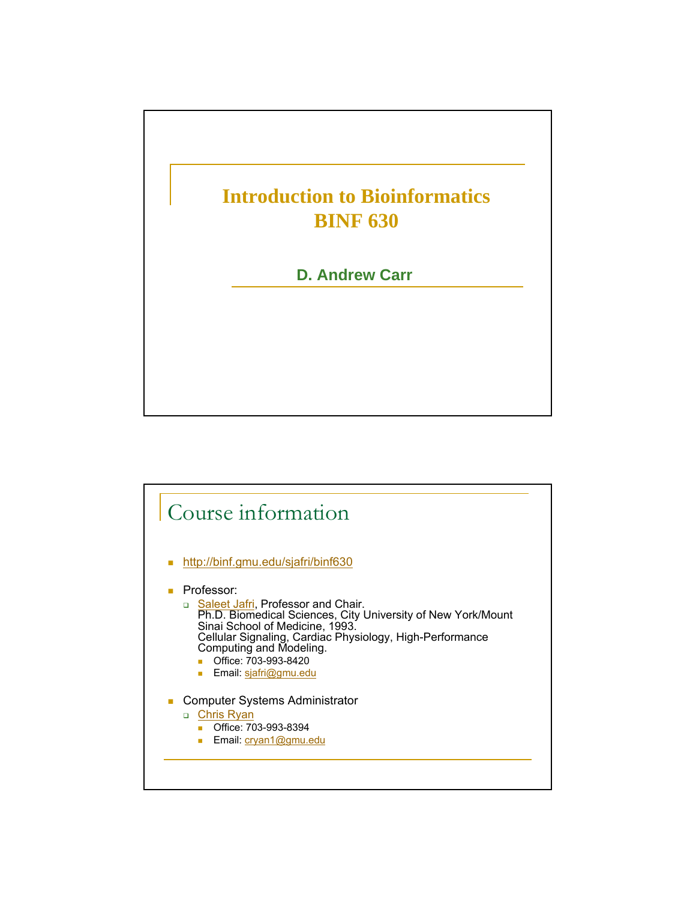

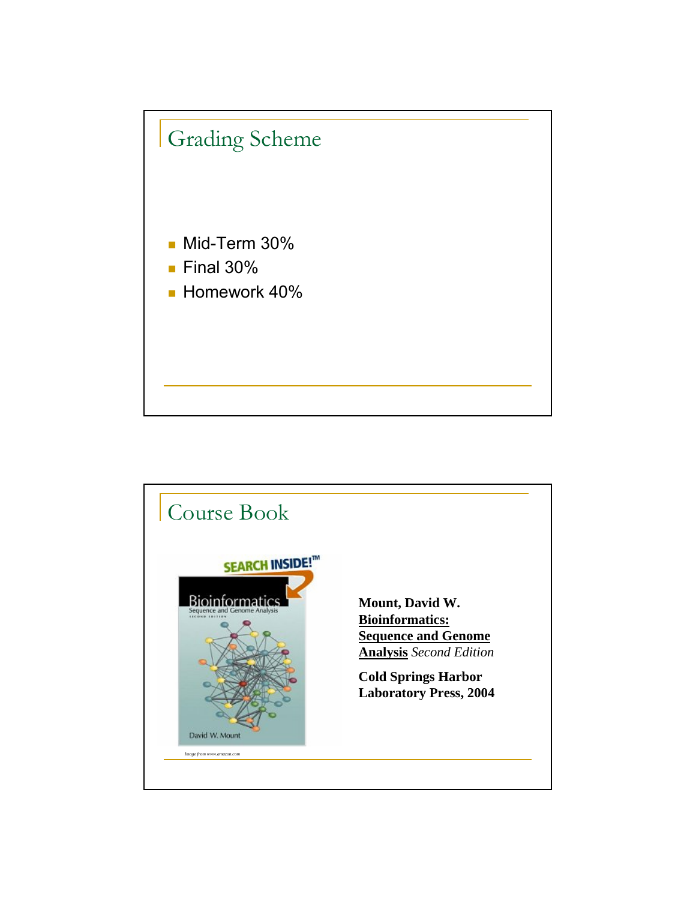

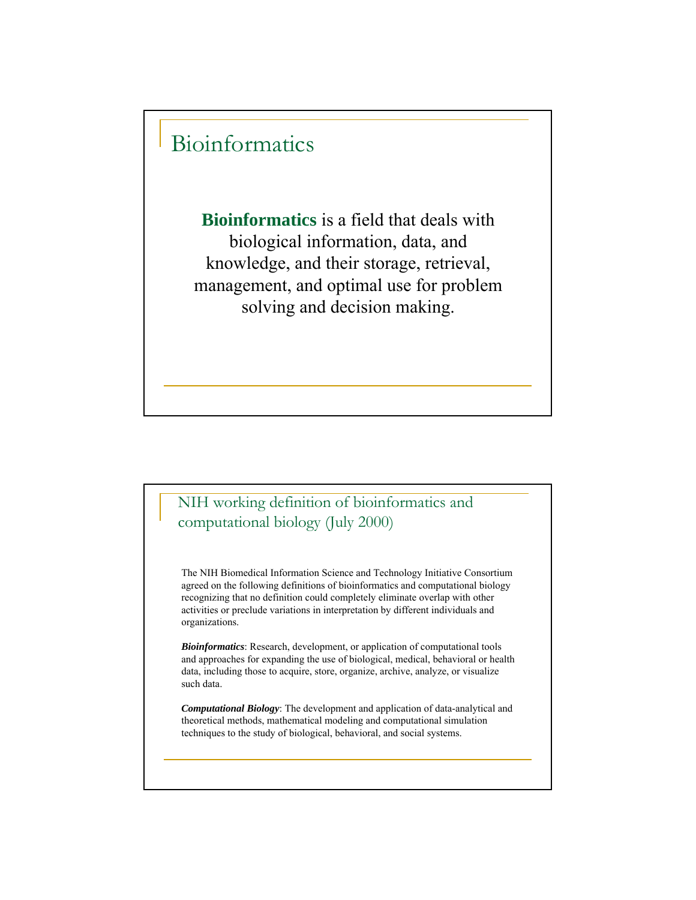## Bioinformatics

**Bioinformatics** is a field that deals with biological information, data, and knowledge, and their storage, retrieval, management, and optimal use for problem solving and decision making.

## NIH working definition of bioinformatics and computational biology (July 2000)

The NIH Biomedical Information Science and Technology Initiative Consortium agreed on the following definitions of bioinformatics and computational biology recognizing that no definition could completely eliminate overlap with other activities or preclude variations in interpretation by different individuals and organizations.

*Bioinformatics*: Research, development, or application of computational tools and approaches for expanding the use of biological, medical, behavioral or health data, including those to acquire, store, organize, archive, analyze, or visualize such data.

*Computational Biology*: The development and application of data-analytical and theoretical methods, mathematical modeling and computational simulation techniques to the study of biological, behavioral, and social systems.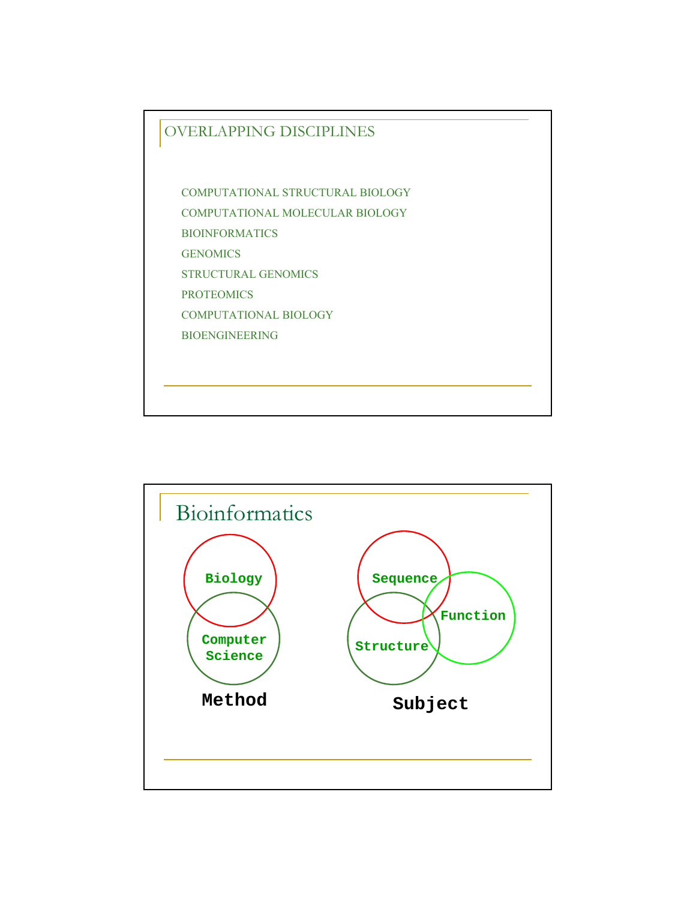

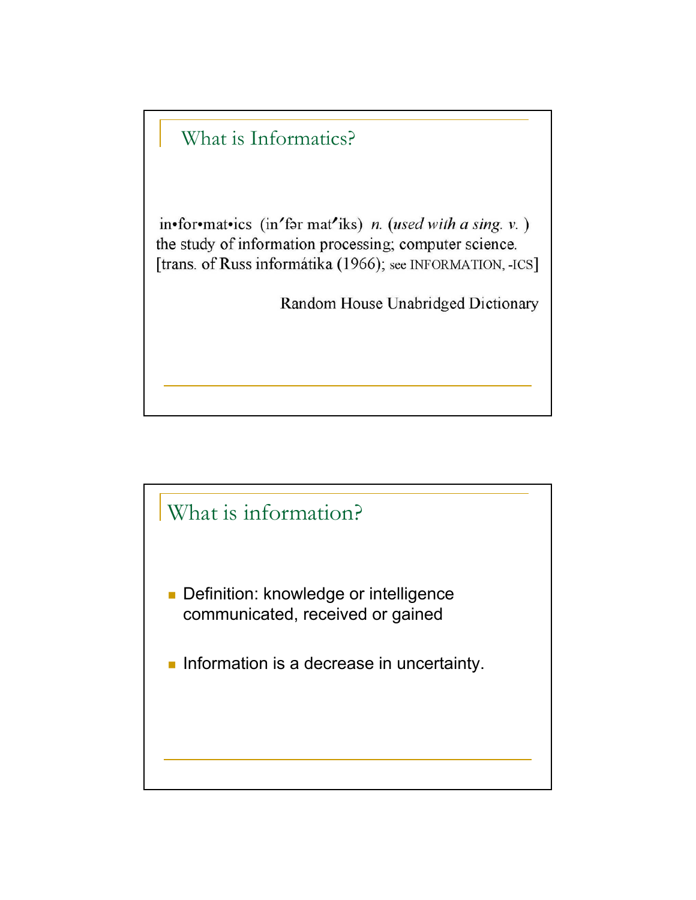

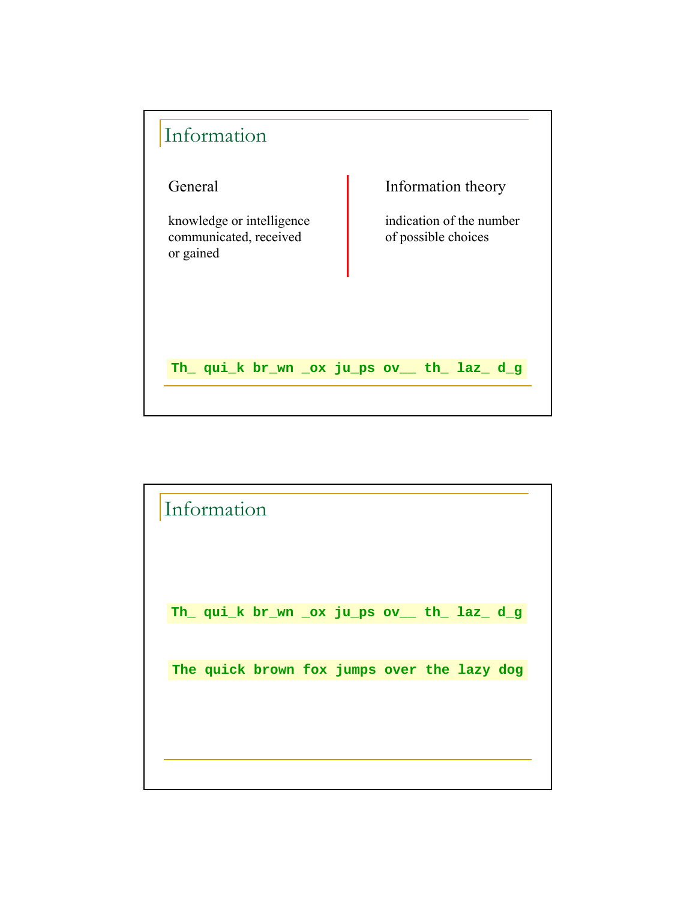

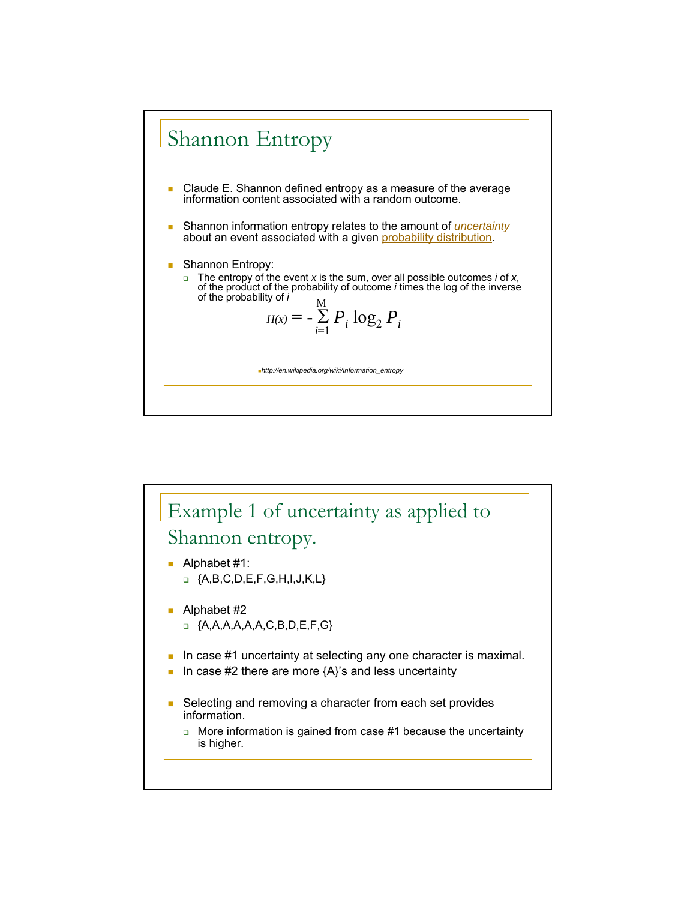

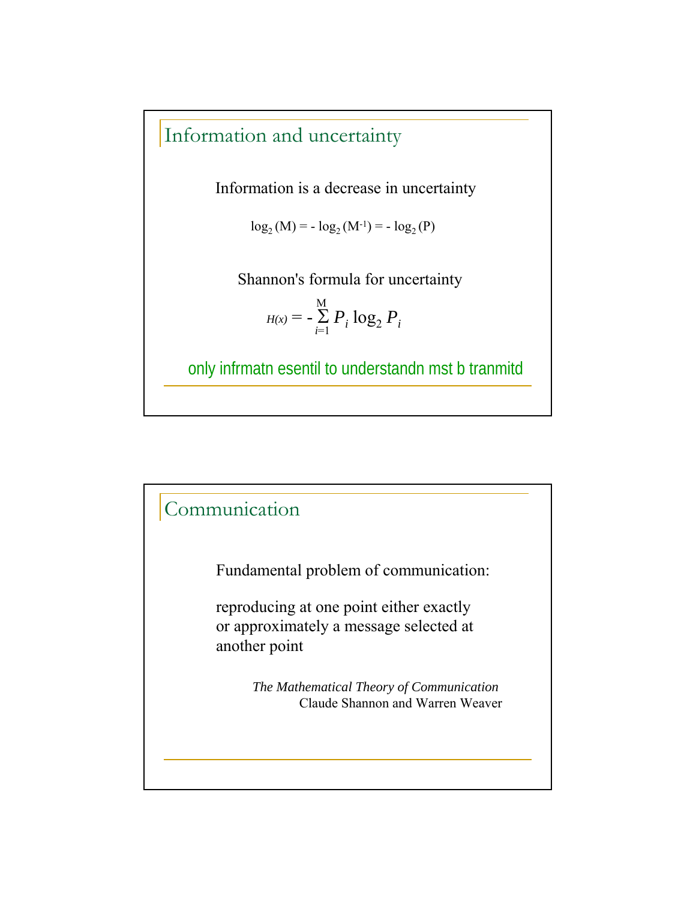## Information and uncertainty

Information is a decrease in uncertainty

 $\log_2(M) = -\log_2(M^{-1}) = -\log_2(P)$ 

Shannon's formula for uncertainty

$$
H(x) = -\sum_{i=1}^{M} P_i \log_2 P_i
$$

only infrmatn esentil to understandn mst b tranmitd

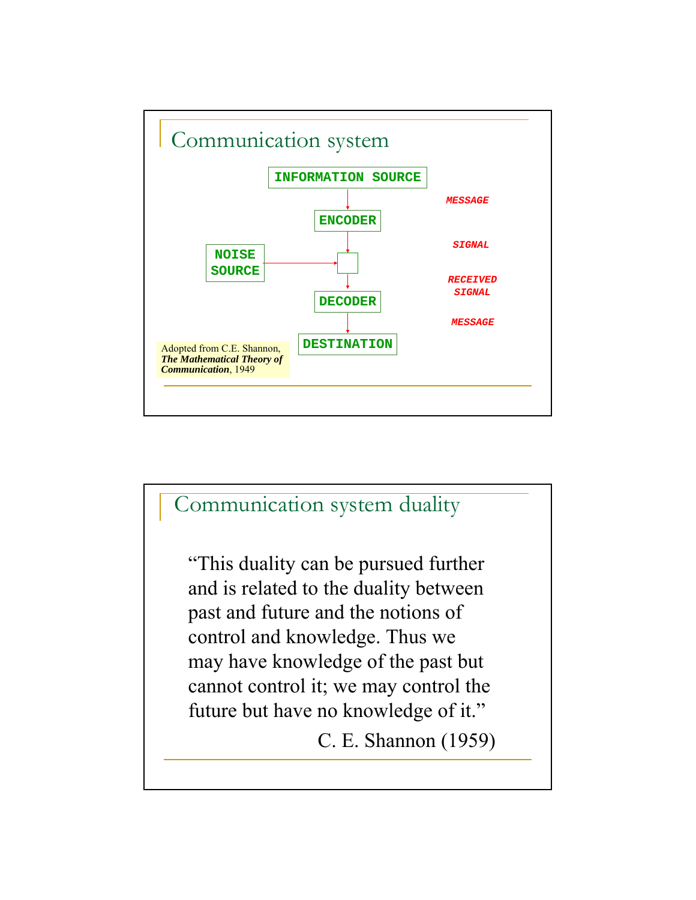

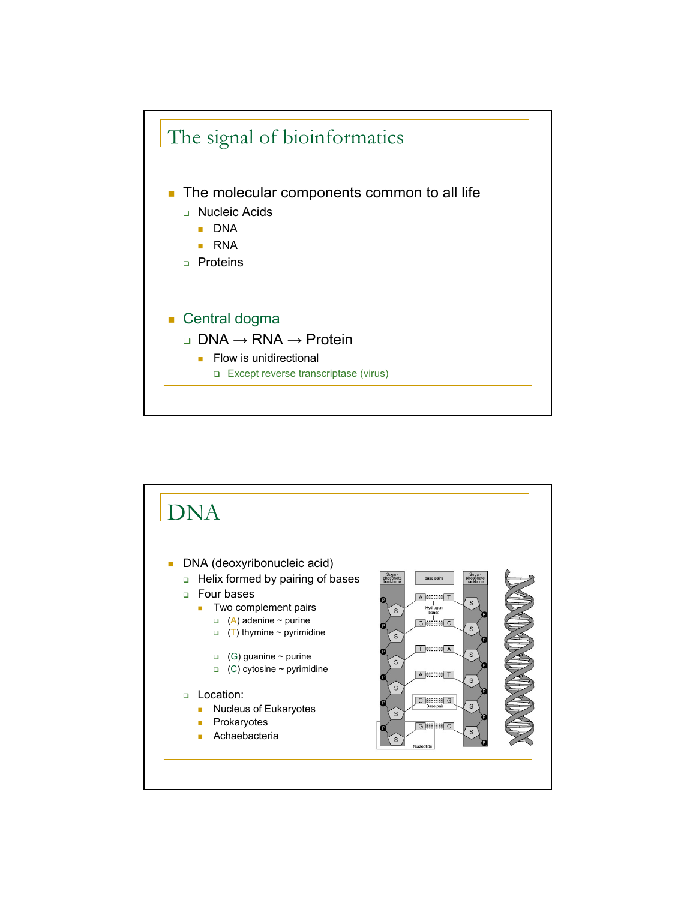

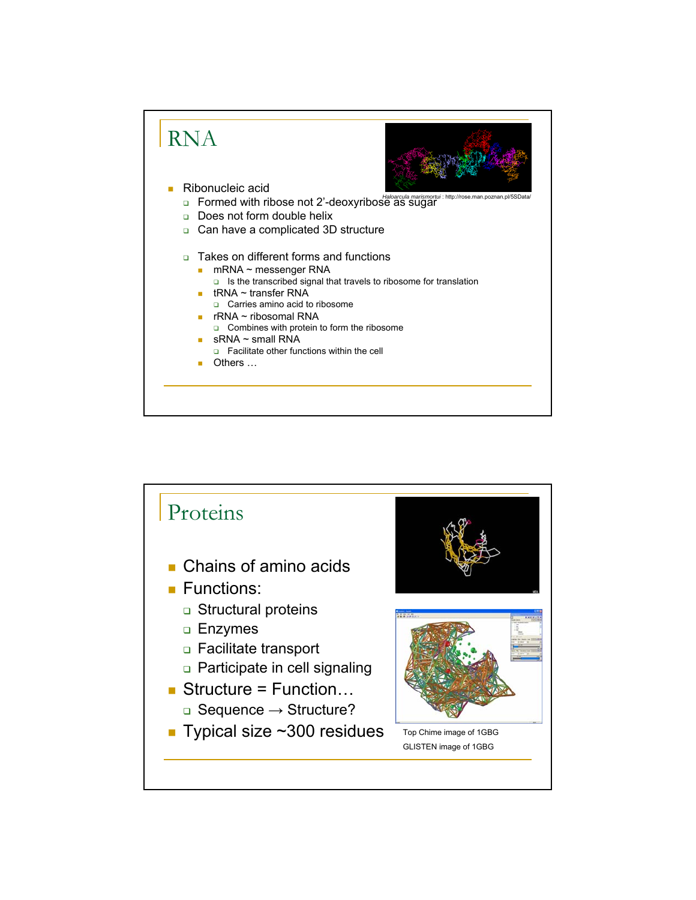

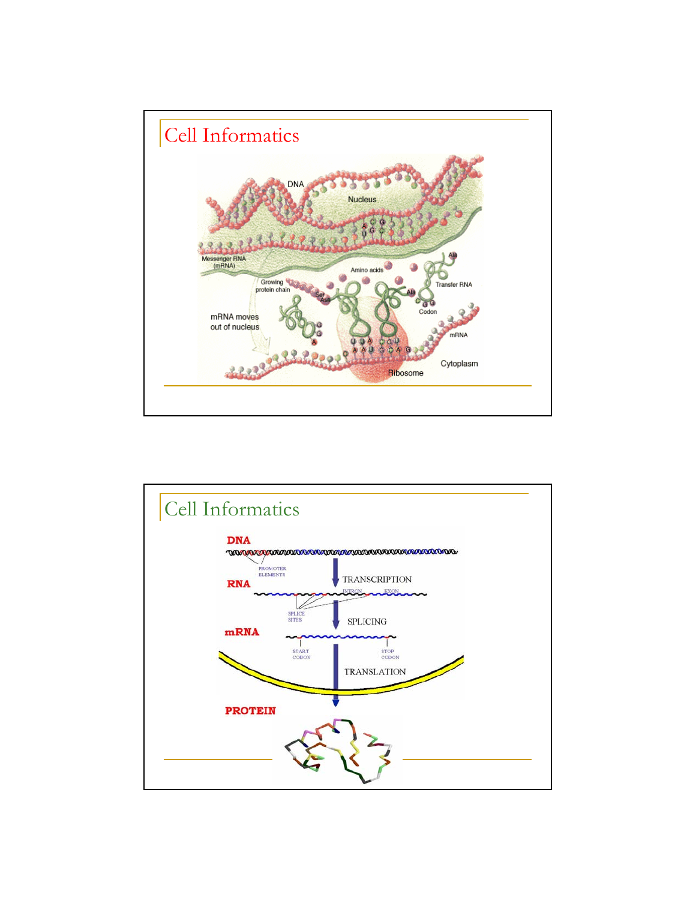

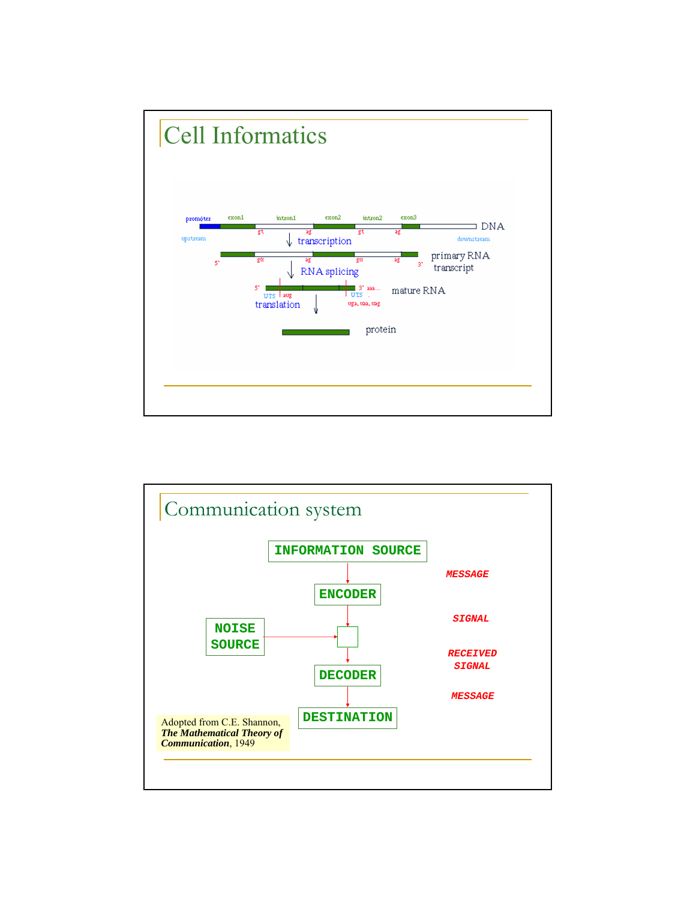

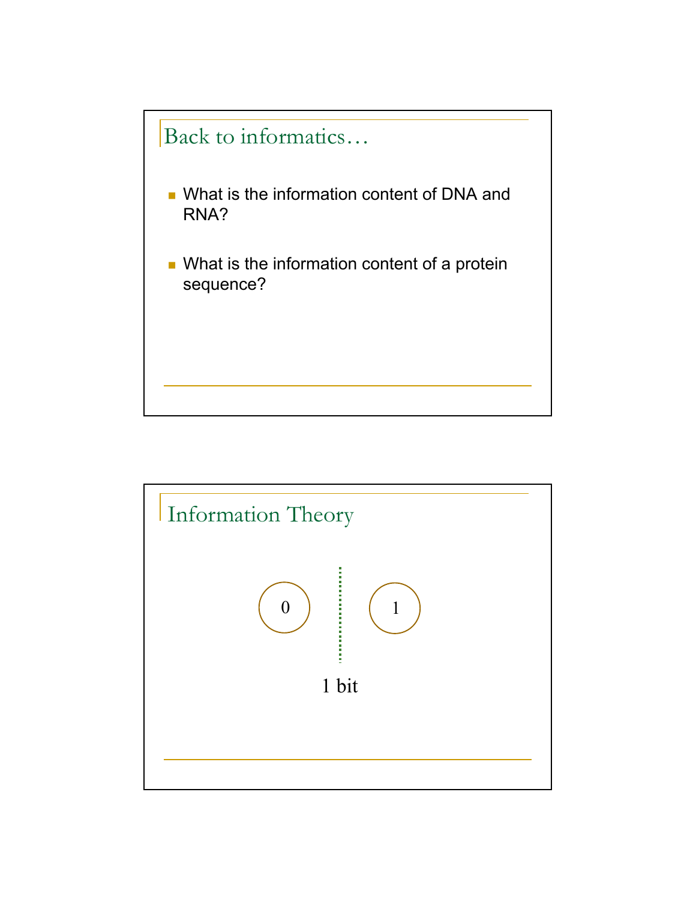

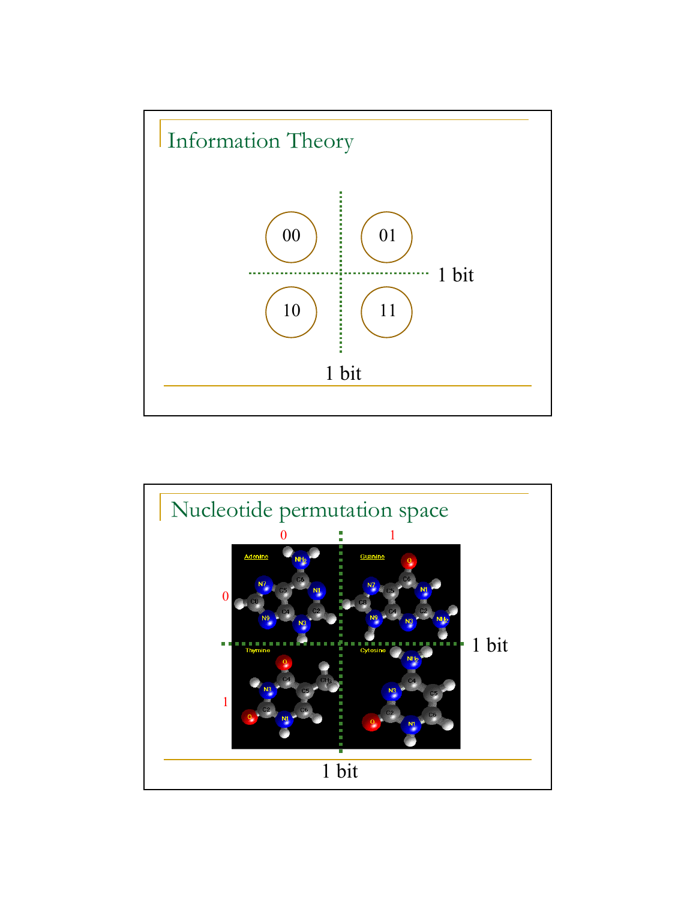

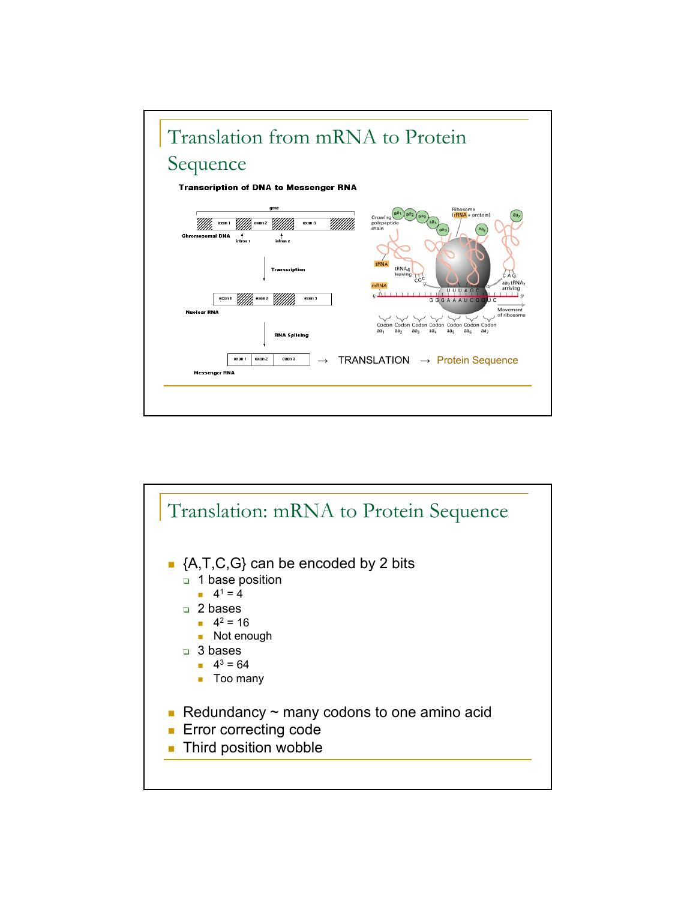

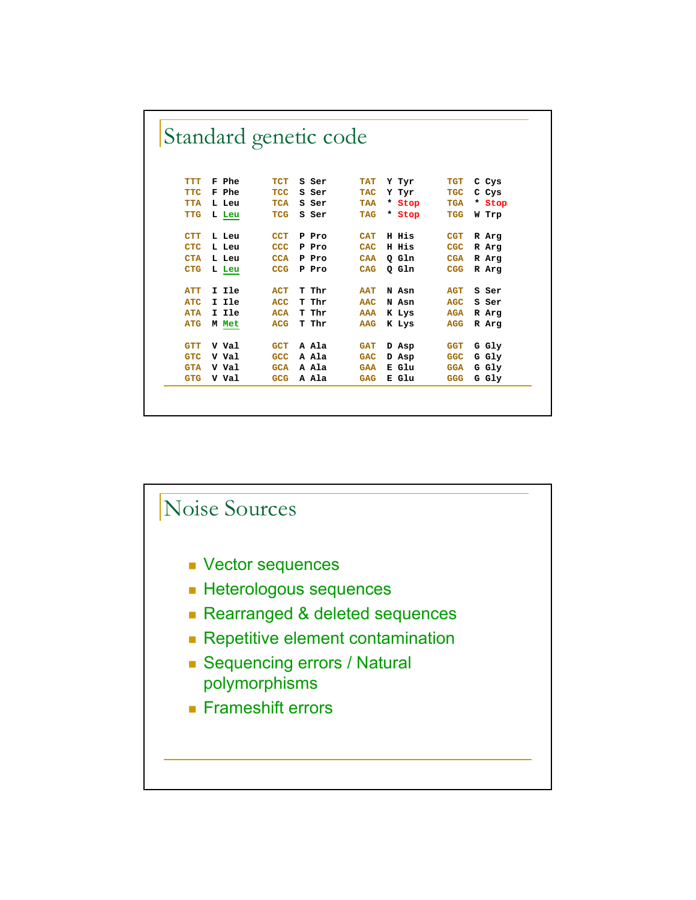|            |       | Standard genetic code |       |            |        |            |        |
|------------|-------|-----------------------|-------|------------|--------|------------|--------|
|            |       |                       |       |            |        |            |        |
| <b>TTT</b> | F Phe | TCT                   | S Ser | <b>TAT</b> | Y Tyr  | <b>TGT</b> | C Cys  |
| <b>TTC</b> | F Phe | <b>TCC</b>            | S Ser | <b>TAC</b> | Y Tyr  | <b>TGC</b> | C Cys  |
| <b>TTA</b> | L Leu | <b>TCA</b>            | S Ser | <b>TAA</b> | * Stop | <b>TGA</b> | * Stop |
| <b>TTG</b> | L Leu | TCG                   | S Ser | <b>TAG</b> | * Stop | <b>TGG</b> | W Trp  |
|            |       |                       |       |            |        |            |        |
| <b>CTT</b> | L Leu | <b>CCT</b>            | P Pro | <b>CAT</b> | H His  | <b>CGT</b> | R Arg  |
| <b>CTC</b> | L Leu | <b>CCC</b>            | P Pro | CAC        | H His  | <b>CGC</b> | R Arg  |
| <b>CTA</b> | L Leu | <b>CCA</b>            | P Pro | <b>CAA</b> | Q Gln  | <b>CGA</b> | R Arg  |
| <b>CTG</b> | L Leu | <b>CCG</b>            | P Pro | CAG        | Q Gln  | <b>CGG</b> | R Arg  |
|            |       |                       |       |            |        |            |        |
| <b>ATT</b> | I Ile | <b>ACT</b>            | T Thr | <b>AAT</b> | N Asn  | <b>AGT</b> | S Ser  |
| <b>ATC</b> | I Ile | ACC                   | T Thr | AAC        | N Asn  | AGC        | S Ser  |
| <b>ATA</b> | I Ile | <b>ACA</b>            | T Thr | <b>AAA</b> | K Lys  | <b>AGA</b> | R Arg  |
| <b>ATG</b> | M Met | <b>ACG</b>            | T Thr | <b>AAG</b> | K Lys  | <b>AGG</b> | R Arq  |
|            |       |                       |       |            |        |            |        |
| <b>GTT</b> | V Val | <b>GCT</b>            | A Ala | <b>GAT</b> | D Asp  | <b>GGT</b> | G Gly  |
| <b>GTC</b> | V Val | <b>GCC</b>            | A Ala | <b>GAC</b> | D Asp  | <b>GGC</b> | G Gly  |
| <b>GTA</b> | V Val | <b>GCA</b>            | A Ala | <b>GAA</b> | E Glu  | <b>GGA</b> | G Gly  |
| <b>GTG</b> | V Val | GCG                   | A Ala | <b>GAG</b> | E Glu  | <b>GGG</b> | G Gly  |

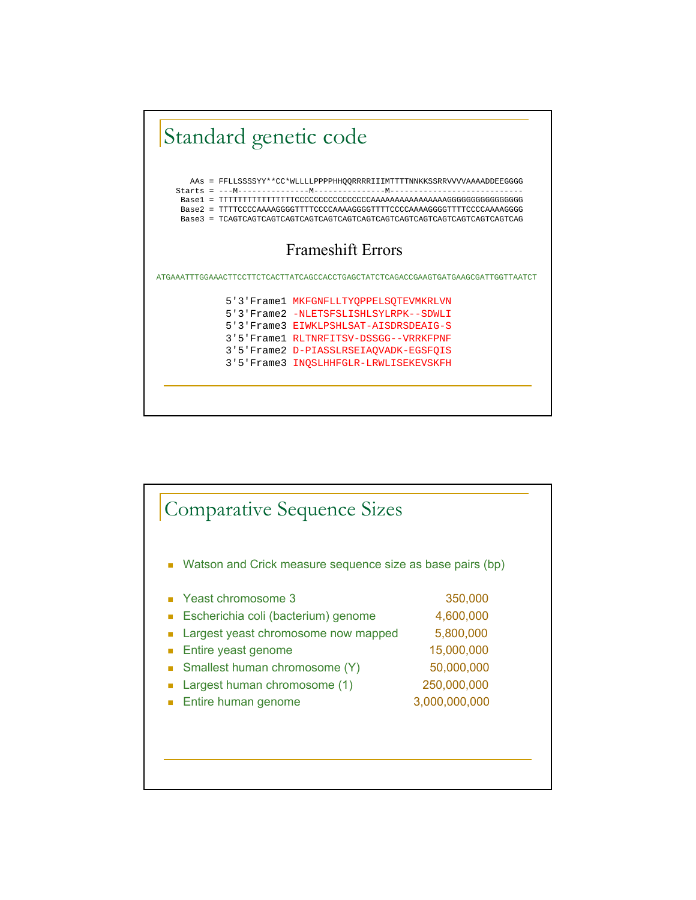